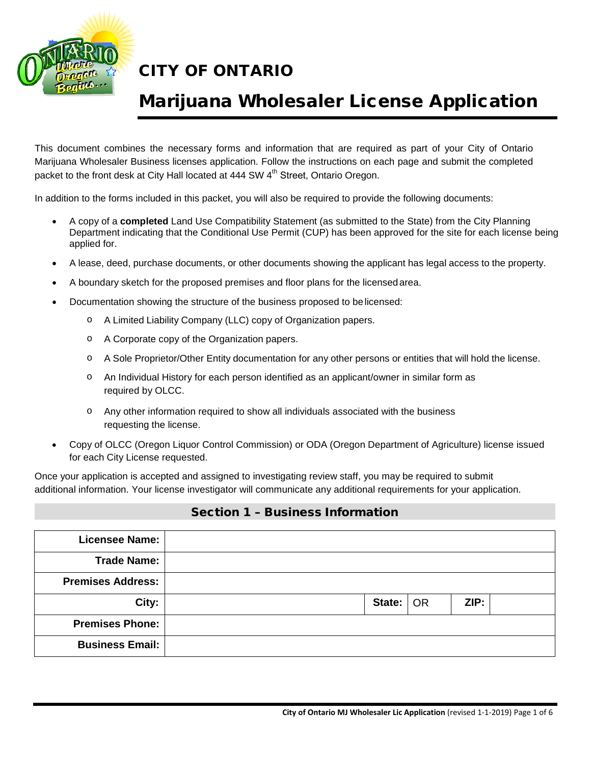

## Marijuana Wholesaler License Application

This document combines the necessary forms and information that are required as part of your City of Ontario Marijuana Wholesaler Business licenses application. Follow the instructions on each page and submit the completed packet to the front desk at City Hall located at 444 SW 4<sup>th</sup> Street, Ontario Oregon.

In addition to the forms included in this packet, you will also be required to provide the following documents:

- A copy of a **completed** Land Use Compatibility Statement (as submitted to the State) from the City Planning Department indicating that the Conditional Use Permit (CUP) has been approved for the site for each license being applied for.
- A lease, deed, purchase documents, or other documents showing the applicant has legal access to the property.
- A boundary sketch for the proposed premises and floor plans for the licensedarea.
- Documentation showing the structure of the business proposed to belicensed:
	- o A Limited Liability Company (LLC) copy of Organization papers.
	- o A Corporate copy of the Organization papers.
	- o A Sole Proprietor/Other Entity documentation for any other persons or entities that will hold the license.
	- o An Individual History for each person identified as an applicant/owner in similar form as required by OLCC.
	- o Any other information required to show all individuals associated with the business requesting the license.
- Copy of OLCC (Oregon Liquor Control Commission) or ODA (Oregon Department of Agriculture) license issued for each City License requested.

Once your application is accepted and assigned to investigating review staff, you may be required to submit additional information. Your license investigator will communicate any additional requirements for your application.

#### Section 1 – Business Information

| <b>Licensee Name:</b>    |  |                             |      |  |
|--------------------------|--|-----------------------------|------|--|
| <b>Trade Name:</b>       |  |                             |      |  |
| <b>Premises Address:</b> |  |                             |      |  |
| City:                    |  | State: $\overline{\big)$ OR | ZIP: |  |
| <b>Premises Phone:</b>   |  |                             |      |  |
| <b>Business Email:</b>   |  |                             |      |  |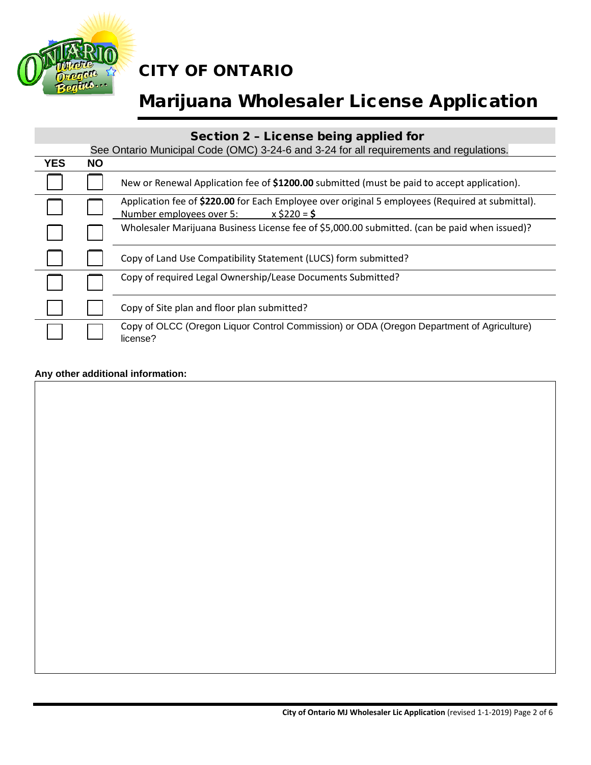

# Marijuana Wholesaler License Application

#### Section 2 – License being applied for

|            | See Ontario Municipal Code (OMC) 3-24-6 and 3-24 for all requirements and regulations. |                                                                                                                                                |  |  |  |
|------------|----------------------------------------------------------------------------------------|------------------------------------------------------------------------------------------------------------------------------------------------|--|--|--|
| <b>YES</b> | <b>NO</b>                                                                              |                                                                                                                                                |  |  |  |
|            |                                                                                        | New or Renewal Application fee of \$1200.00 submitted (must be paid to accept application).                                                    |  |  |  |
|            |                                                                                        | Application fee of \$220.00 for Each Employee over original 5 employees (Required at submittal).<br>Number employees over 5:<br>$x$ \$220 = \$ |  |  |  |
|            |                                                                                        | Wholesaler Marijuana Business License fee of \$5,000.00 submitted. (can be paid when issued)?                                                  |  |  |  |
|            |                                                                                        | Copy of Land Use Compatibility Statement (LUCS) form submitted?                                                                                |  |  |  |
|            |                                                                                        | Copy of required Legal Ownership/Lease Documents Submitted?                                                                                    |  |  |  |
|            |                                                                                        | Copy of Site plan and floor plan submitted?                                                                                                    |  |  |  |
|            |                                                                                        | Copy of OLCC (Oregon Liquor Control Commission) or ODA (Oregon Department of Agriculture)<br>license?                                          |  |  |  |

#### **Any other additional information:**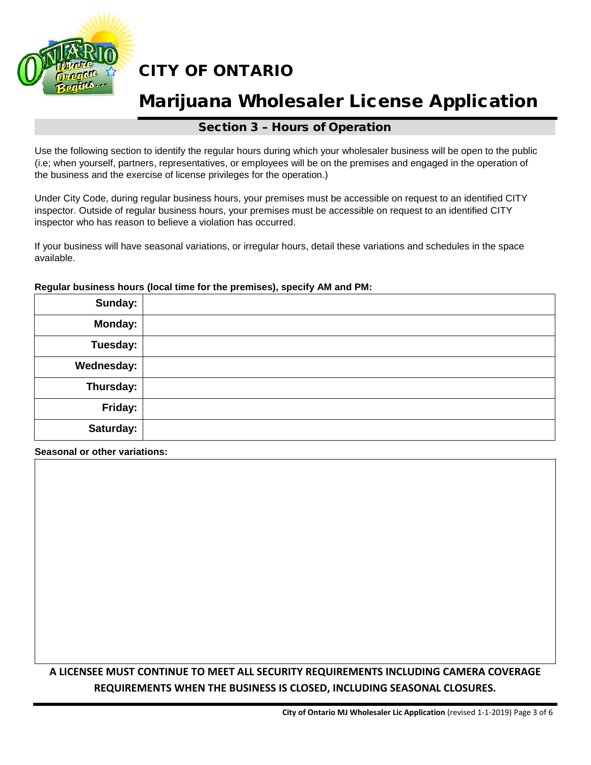

### Marijuana Wholesaler License Application

#### Section 3 – Hours of Operation

Use the following section to identify the regular hours during which your wholesaler business will be open to the public (i.e; when yourself, partners, representatives, or employees will be on the premises and engaged in the operation of the business and the exercise of license privileges for the operation.)

Under City Code, during regular business hours, your premises must be accessible on request to an identified CITY inspector. Outside of regular business hours, your premises must be accessible on request to an identified CITY inspector who has reason to believe a violation has occurred.

If your business will have seasonal variations, or irregular hours, detail these variations and schedules in the space available.

## **Sunday: Monday: Tuesday: Wednesday: Thursday: Friday: Saturday:**

#### **Regular business hours (local time for the premises), specify AM and PM:**

**Seasonal or other variations:**

#### **A LICENSEE MUST CONTINUE TO MEET ALL SECURITY REQUIREMENTS INCLUDING CAMERA COVERAGE REQUIREMENTS WHEN THE BUSINESS IS CLOSED, INCLUDING SEASONAL CLOSURES.**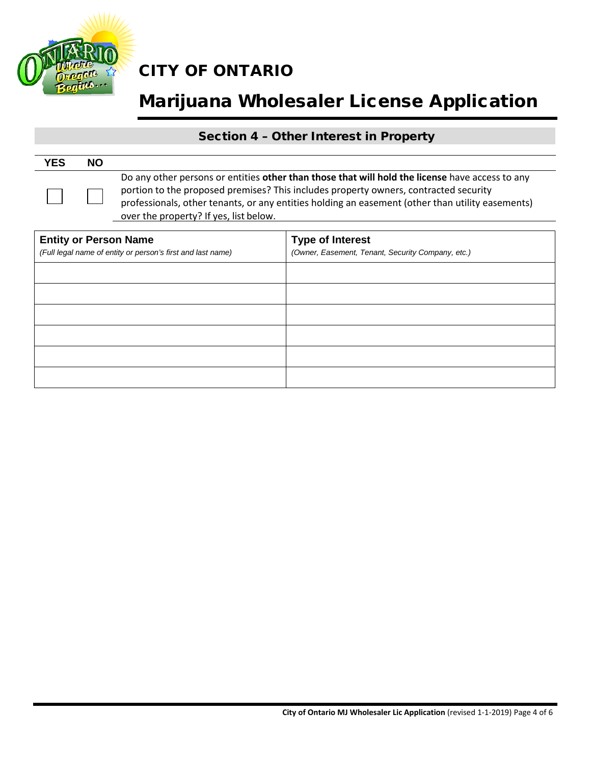

# Marijuana Wholesaler License Application

#### Section 4 – Other Interest in Property

| <b>YES</b> | <b>NO</b> |                                                                                                                                                                                                                                                                                                                                       |
|------------|-----------|---------------------------------------------------------------------------------------------------------------------------------------------------------------------------------------------------------------------------------------------------------------------------------------------------------------------------------------|
|            |           | Do any other persons or entities other than those that will hold the license have access to any<br>portion to the proposed premises? This includes property owners, contracted security<br>professionals, other tenants, or any entities holding an easement (other than utility easements)<br>over the property? If yes, list below. |

| <b>Entity or Person Name</b><br>(Full legal name of entity or person's first and last name) | <b>Type of Interest</b><br>(Owner, Easement, Tenant, Security Company, etc.) |  |  |
|---------------------------------------------------------------------------------------------|------------------------------------------------------------------------------|--|--|
|                                                                                             |                                                                              |  |  |
|                                                                                             |                                                                              |  |  |
|                                                                                             |                                                                              |  |  |
|                                                                                             |                                                                              |  |  |
|                                                                                             |                                                                              |  |  |
|                                                                                             |                                                                              |  |  |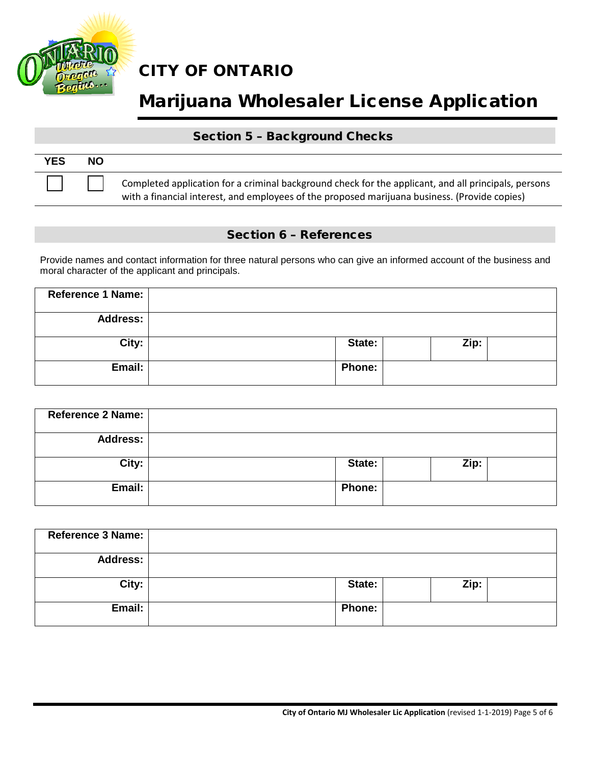

# Marijuana Wholesaler License Application

#### Section 5 – Background Checks

| <b>YES</b> | <b>NO</b> |                                                                                                                                                                                                       |
|------------|-----------|-------------------------------------------------------------------------------------------------------------------------------------------------------------------------------------------------------|
|            |           | Completed application for a criminal background check for the applicant, and all principals, persons<br>with a financial interest, and employees of the proposed marijuana business. (Provide copies) |

#### Section 6 – References

Provide names and contact information for three natural persons who can give an informed account of the business and moral character of the applicant and principals.

| Reference 1 Name: |               |      |  |
|-------------------|---------------|------|--|
| <b>Address:</b>   |               |      |  |
| City:             | State:        | Zip: |  |
| Email:            | <b>Phone:</b> |      |  |

| Reference 2 Name: |               |      |  |
|-------------------|---------------|------|--|
| <b>Address:</b>   |               |      |  |
| City:             | State:        | Zip: |  |
| Email:            | <b>Phone:</b> |      |  |

| <b>Reference 3 Name:</b> |               |      |
|--------------------------|---------------|------|
| <b>Address:</b>          |               |      |
| City:                    | State:        | Zip: |
| Email:                   | <b>Phone:</b> |      |